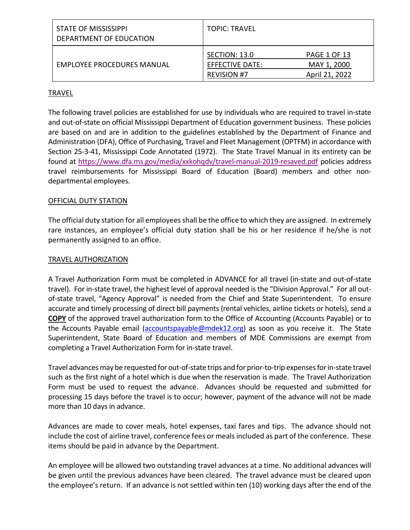| STATE OF MISSISSIPPI<br>DEPARTMENT OF EDUCATION | <b>TOPIC: TRAVEL</b>                                   |                                                      |
|-------------------------------------------------|--------------------------------------------------------|------------------------------------------------------|
| <b>EMPLOYEE PROCEDURES MANUAL</b>               | SECTION: 13.0<br>EFFECTIVE DATE:<br><b>REVISION #7</b> | <b>PAGE 1 OF 13</b><br>MAY 1, 2000<br>April 21, 2022 |

# TRAVEL

The following travel policies are established for use by individuals who are required to travel in-state and out-of-state on official Mississippi Department of Education government business. These policies are based on and are in addition to the guidelines established by the Department of Finance and Administration (DFA), Office of Purchasing, Travel and Fleet Management (OPTFM) in accordance with Section 25-3-41, Mississippi Code Annotated (1972). The State Travel Manual in its entirety can be found at <https://www.dfa.ms.gov/media/xxkohqdv/travel-manual-2019-resaved.pdf>policies address travel reimbursements for Mississippi Board of Education (Board) members and other nondepartmental employees.

# OFFICIAL DUTY STATION

The official duty station for all employees shall be the office to which they are assigned. In extremely rare instances, an employee's official duty station shall be his or her residence if he/she is not permanently assigned to an office.

# TRAVEL AUTHORIZATION

A Travel Authorization Form must be completed in ADVANCE for all travel (in-state and out-of-state travel). For in-state travel, the highest level of approval needed is the "Division Approval." For all outof-state travel, "Agency Approval" is needed from the Chief and State Superintendent. To ensure accurate and timely processing of direct bill payments (rental vehicles, airline tickets or hotels), send a **COPY** of the approved travel authorization form to the Office of Accounting (Accounts Payable) or to the Accounts Payable email ( $\frac{accountspayable@mdek12.org}{a}$  as soon as you receive it. The State Superintendent, State Board of Education and members of MDE Commissions are exempt from completing a Travel Authorization Form for in-state travel.

Travel advances may be requested for out-of-state trips and for prior-to-trip expenses for in-state travel such as the first night of a hotel which is due when the reservation is made. The Travel Authorization Form must be used to request the advance. Advances should be requested and submitted for processing 15 days before the travel is to occur; however, payment of the advance will not be made more than 10 days in advance.

Advances are made to cover meals, hotel expenses, taxi fares and tips. The advance should not include the cost of airline travel, conference fees or meals included as part of the conference. These items should be paid in advance by the Department.

An employee will be allowed two outstanding travel advances at a time. No additional advances will be given until the previous advances have been cleared. The travel advance must be cleared upon the employee's return. If an advance is not settled within ten (10) working days after the end of the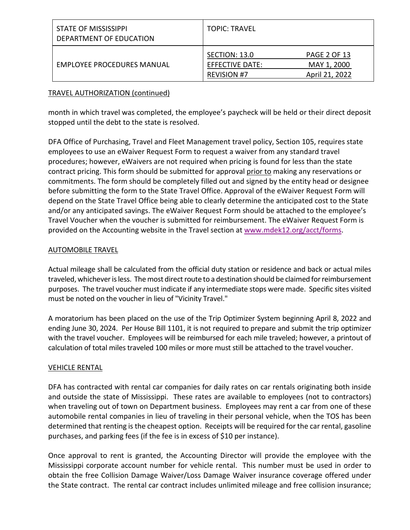| STATE OF MISSISSIPPI<br>DEPARTMENT OF EDUCATION | <b>TOPIC: TRAVEL</b>                                   |                                                      |
|-------------------------------------------------|--------------------------------------------------------|------------------------------------------------------|
| EMPLOYEE PROCEDURES MANUAL                      | SECTION: 13.0<br>EFFECTIVE DATE:<br><b>REVISION #7</b> | <b>PAGE 2 OF 13</b><br>MAY 1, 2000<br>April 21, 2022 |

## TRAVEL AUTHORIZATION (continued)

month in which travel was completed, the employee's paycheck will be held or their direct deposit stopped until the debt to the state is resolved.

DFA Office of Purchasing, Travel and Fleet Management travel policy, Section 105, requires state employees to use an eWaiver Request Form to request a waiver from any standard travel procedures; however, eWaivers are not required when pricing is found for less than the state contract pricing. This form should be submitted for approval prior to making any reservations or commitments. The form should be completely filled out and signed by the entity head or designee before submitting the form to the State Travel Office. Approval of the eWaiver Request Form will depend on the State Travel Office being able to clearly determine the anticipated cost to the State and/or any anticipated savings. The eWaiver Request Form should be attached to the employee's Travel Voucher when the voucher is submitted for reimbursement. The eWaiver Request Form is provided on the Accounting website in the Travel section at [www.mdek12.org/acct/forms.](http://www.mdek12.org/acct/forms)

# AUTOMOBILE TRAVEL

Actual mileage shall be calculated from the official duty station or residence and back or actual miles traveled, whichever is less. The most direct route to a destination should be claimed for reimbursement purposes. The travel voucher must indicate if any intermediate stops were made. Specific sites visited must be noted on the voucher in lieu of "Vicinity Travel."

A moratorium has been placed on the use of the Trip Optimizer System beginning April 8, 2022 and ending June 30, 2024. Per House Bill 1101, it is not required to prepare and submit the trip optimizer with the travel voucher. Employees will be reimbursed for each mile traveled; however, a printout of calculation of total miles traveled 100 miles or more must still be attached to the travel voucher.

# VEHICLE RENTAL

DFA has contracted with rental car companies for daily rates on car rentals originating both inside and outside the state of Mississippi. These rates are available to employees (not to contractors) when traveling out of town on Department business. Employees may rent a car from one of these automobile rental companies in lieu of traveling in their personal vehicle, when the TOS has been determined that renting is the cheapest option. Receipts will be required for the car rental, gasoline purchases, and parking fees (if the fee is in excess of \$10 per instance).

Once approval to rent is granted, the Accounting Director will provide the employee with the Mississippi corporate account number for vehicle rental. This number must be used in order to obtain the free Collision Damage Waiver/Loss Damage Waiver insurance coverage offered under the State contract. The rental car contract includes unlimited mileage and free collision insurance;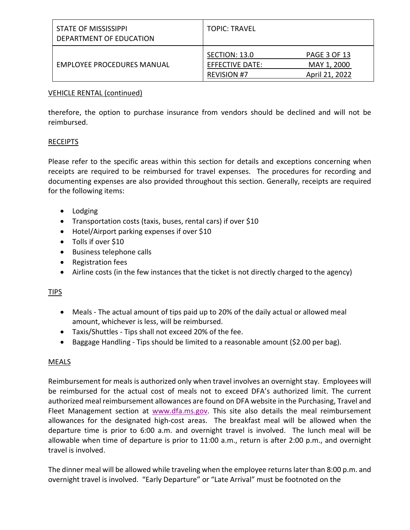| STATE OF MISSISSIPPI<br>DEPARTMENT OF EDUCATION | <b>TOPIC: TRAVEL</b>                                   |                                                      |
|-------------------------------------------------|--------------------------------------------------------|------------------------------------------------------|
| EMPLOYEE PROCEDURES MANUAL                      | SECTION: 13.0<br>EFFECTIVE DATE:<br><b>REVISION #7</b> | <b>PAGE 3 OF 13</b><br>MAY 1, 2000<br>April 21, 2022 |

## VEHICLE RENTAL (continued)

therefore, the option to purchase insurance from vendors should be declined and will not be reimbursed.

# RECEIPTS

Please refer to the specific areas within this section for details and exceptions concerning when receipts are required to be reimbursed for travel expenses. The procedures for recording and documenting expenses are also provided throughout this section. Generally, receipts are required for the following items:

- Lodging
- Transportation costs (taxis, buses, rental cars) if over \$10
- Hotel/Airport parking expenses if over \$10
- Tolls if over \$10
- Business telephone calls
- Registration fees
- Airline costs (in the few instances that the ticket is not directly charged to the agency)

# TIPS

- Meals The actual amount of tips paid up to 20% of the daily actual or allowed meal amount, whichever is less, will be reimbursed.
- Taxis/Shuttles Tips shall not exceed 20% of the fee.
- Baggage Handling Tips should be limited to a reasonable amount (\$2.00 per bag).

# MEALS

Reimbursement for meals is authorized only when travel involves an overnight stay. Employees will be reimbursed for the actual cost of meals not to exceed DFA's authorized limit. The current authorized meal reimbursement allowances are found on DFA website in the Purchasing, Travel and Fleet Management section at [www.dfa.ms.gov.](http://www.dfa.ms.gov/) This site also details the meal reimbursement allowances for the designated high-cost areas. The breakfast meal will be allowed when the departure time is prior to 6:00 a.m. and overnight travel is involved. The lunch meal will be allowable when time of departure is prior to 11:00 a.m., return is after 2:00 p.m., and overnight travel is involved.

The dinner meal will be allowed while traveling when the employee returns later than 8:00 p.m. and overnight travel is involved. "Early Departure" or "Late Arrival" must be footnoted on the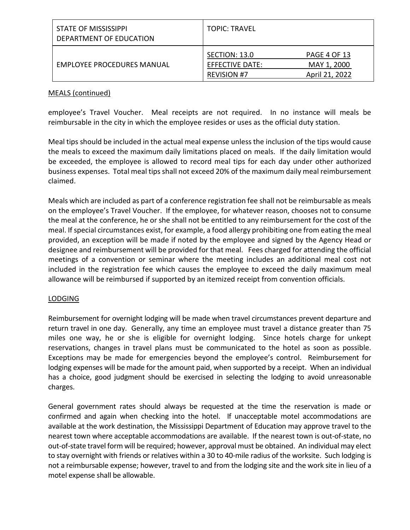| STATE OF MISSISSIPPI<br>DEPARTMENT OF EDUCATION | <b>TOPIC: TRAVEL</b>                                   |                                                      |
|-------------------------------------------------|--------------------------------------------------------|------------------------------------------------------|
| <b>EMPLOYEE PROCEDURES MANUAL</b>               | SECTION: 13.0<br>EFFECTIVE DATE:<br><b>REVISION #7</b> | <b>PAGE 4 OF 13</b><br>MAY 1, 2000<br>April 21, 2022 |

## MEALS (continued)

employee's Travel Voucher. Meal receipts are not required. In no instance will meals be reimbursable in the city in which the employee resides or uses as the official duty station.

Meal tips should be included in the actual meal expense unless the inclusion of the tips would cause the meals to exceed the maximum daily limitations placed on meals. If the daily limitation would be exceeded, the employee is allowed to record meal tips for each day under other authorized business expenses. Total meal tips shall not exceed 20% of the maximum daily meal reimbursement claimed.

Meals which are included as part of a conference registration fee shall not be reimbursable as meals on the employee's Travel Voucher. If the employee, for whatever reason, chooses not to consume the meal at the conference, he or she shall not be entitled to any reimbursement for the cost of the meal. If special circumstances exist, for example, a food allergy prohibiting one from eating the meal provided, an exception will be made if noted by the employee and signed by the Agency Head or designee and reimbursement will be provided for that meal. Fees charged for attending the official meetings of a convention or seminar where the meeting includes an additional meal cost not included in the registration fee which causes the employee to exceed the daily maximum meal allowance will be reimbursed if supported by an itemized receipt from convention officials.

## LODGING

Reimbursement for overnight lodging will be made when travel circumstances prevent departure and return travel in one day. Generally, any time an employee must travel a distance greater than 75 miles one way, he or she is eligible for overnight lodging. Since hotels charge for unkept reservations, changes in travel plans must be communicated to the hotel as soon as possible. Exceptions may be made for emergencies beyond the employee's control. Reimbursement for lodging expenses will be made for the amount paid, when supported by a receipt. When an individual has a choice, good judgment should be exercised in selecting the lodging to avoid unreasonable charges.

General government rates should always be requested at the time the reservation is made or confirmed and again when checking into the hotel. If unacceptable motel accommodations are available at the work destination, the Mississippi Department of Education may approve travel to the nearest town where acceptable accommodations are available. If the nearest town is out-of-state, no out-of-state travel form will be required; however, approval must be obtained. An individual may elect to stay overnight with friends or relatives within a 30 to 40-mile radius of the worksite. Such lodging is not a reimbursable expense; however, travel to and from the lodging site and the work site in lieu of a motel expense shall be allowable.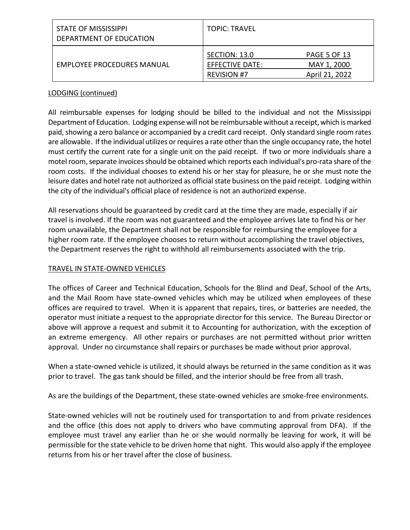| STATE OF MISSISSIPPI<br>DEPARTMENT OF EDUCATION | <b>TOPIC: TRAVEL</b>                                   |                                                      |
|-------------------------------------------------|--------------------------------------------------------|------------------------------------------------------|
| EMPLOYEE PROCEDURES MANUAL                      | SECTION: 13.0<br>EFFECTIVE DATE:<br><b>REVISION #7</b> | <b>PAGE 5 OF 13</b><br>MAY 1, 2000<br>April 21, 2022 |

# LODGING (continued)

All reimbursable expenses for lodging should be billed to the individual and not the Mississippi Department of Education. Lodging expense will not be reimbursable without a receipt, which is marked paid, showing a zero balance or accompanied by a credit card receipt. Only standard single room rates are allowable. If the individual utilizes or requires a rate other than the single occupancy rate, the hotel must certify the current rate for a single unit on the paid receipt. If two or more individuals share a motel room, separate invoices should be obtained which reports each individual's pro-rata share of the room costs. If the individual chooses to extend his or her stay for pleasure, he or she must note the leisure dates and hotel rate not authorized as official state business on the paid receipt. Lodging within the city of the individual's official place of residence is not an authorized expense.

All reservations should be guaranteed by credit card at the time they are made, especially if air travel is involved. If the room was not guaranteed and the employee arrives late to find his or her room unavailable, the Department shall not be responsible for reimbursing the employee for a higher room rate. If the employee chooses to return without accomplishing the travel objectives, the Department reserves the right to withhold all reimbursements associated with the trip.

# TRAVEL IN STATE-OWNED VEHICLES

The offices of Career and Technical Education, Schools for the Blind and Deaf, School of the Arts, and the Mail Room have state-owned vehicles which may be utilized when employees of these offices are required to travel. When it is apparent that repairs, tires, or batteries are needed, the operator must initiate a request to the appropriate director for this service. The Bureau Director or above will approve a request and submit it to Accounting for authorization, with the exception of an extreme emergency. All other repairs or purchases are not permitted without prior written approval. Under no circumstance shall repairs or purchases be made without prior approval.

When a state-owned vehicle is utilized, it should always be returned in the same condition as it was prior to travel. The gas tank should be filled, and the interior should be free from all trash.

As are the buildings of the Department, these state-owned vehicles are smoke-free environments.

State-owned vehicles will not be routinely used for transportation to and from private residences and the office (this does not apply to drivers who have commuting approval from DFA). If the employee must travel any earlier than he or she would normally be leaving for work, it will be permissible for the state vehicle to be driven home that night. This would also apply if the employee returns from his or her travel after the close of business.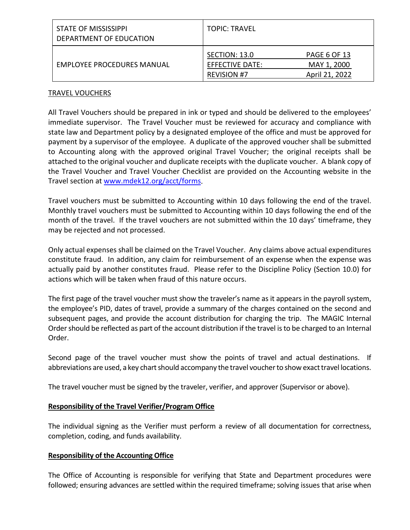| STATE OF MISSISSIPPI<br>DEPARTMENT OF EDUCATION | <b>TOPIC: TRAVEL</b>                                   |                                                      |
|-------------------------------------------------|--------------------------------------------------------|------------------------------------------------------|
| EMPLOYEE PROCEDURES MANUAL                      | SECTION: 13.0<br>EFFECTIVE DATE:<br><b>REVISION #7</b> | <b>PAGE 6 OF 13</b><br>MAY 1, 2000<br>April 21, 2022 |

## TRAVEL VOUCHERS

All Travel Vouchers should be prepared in ink or typed and should be delivered to the employees' immediate supervisor. The Travel Voucher must be reviewed for accuracy and compliance with state law and Department policy by a designated employee of the office and must be approved for payment by a supervisor of the employee. A duplicate of the approved voucher shall be submitted to Accounting along with the approved original Travel Voucher; the original receipts shall be attached to the original voucher and duplicate receipts with the duplicate voucher. A blank copy of the Travel Voucher and Travel Voucher Checklist are provided on the Accounting website in the Travel section at [www.mdek12.org/acct/forms.](http://www.mdek12.org/acct/forms)

Travel vouchers must be submitted to Accounting within 10 days following the end of the travel. Monthly travel vouchers must be submitted to Accounting within 10 days following the end of the month of the travel. If the travel vouchers are not submitted within the 10 days' timeframe, they may be rejected and not processed.

Only actual expenses shall be claimed on the Travel Voucher. Any claims above actual expenditures constitute fraud. In addition, any claim for reimbursement of an expense when the expense was actually paid by another constitutes fraud. Please refer to the Discipline Policy (Section 10.0) for actions which will be taken when fraud of this nature occurs.

The first page of the travel voucher must show the traveler's name as it appears in the payroll system, the employee's PID, dates of travel, provide a summary of the charges contained on the second and subsequent pages, and provide the account distribution for charging the trip. The MAGIC Internal Order should be reflected as part of the account distribution if the travel is to be charged to an Internal Order.

Second page of the travel voucher must show the points of travel and actual destinations. If abbreviations are used, a key chart should accompany the travel voucher to show exact travel locations.

The travel voucher must be signed by the traveler, verifier, and approver (Supervisor or above).

# **Responsibility of the Travel Verifier/Program Office**

The individual signing as the Verifier must perform a review of all documentation for correctness, completion, coding, and funds availability.

# **Responsibility of the Accounting Office**

The Office of Accounting is responsible for verifying that State and Department procedures were followed; ensuring advances are settled within the required timeframe; solving issues that arise when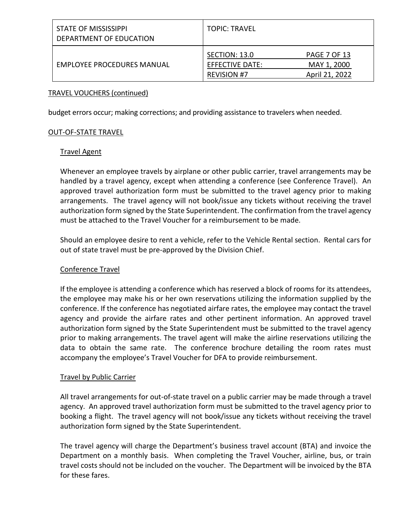| <b>STATE OF MISSISSIPPI</b><br>DEPARTMENT OF EDUCATION | <b>TOPIC: TRAVEL</b>                                   |                                                      |
|--------------------------------------------------------|--------------------------------------------------------|------------------------------------------------------|
| EMPLOYEE PROCEDURES MANUAL                             | SECTION: 13.0<br>EFFECTIVE DATE:<br><b>REVISION #7</b> | <b>PAGE 7 OF 13</b><br>MAY 1, 2000<br>April 21, 2022 |

### TRAVEL VOUCHERS (continued)

budget errors occur; making corrections; and providing assistance to travelers when needed.

## OUT-OF-STATE TRAVEL

#### Travel Agent

Whenever an employee travels by airplane or other public carrier, travel arrangements may be handled by a travel agency, except when attending a conference (see Conference Travel). An approved travel authorization form must be submitted to the travel agency prior to making arrangements. The travel agency will not book/issue any tickets without receiving the travel authorization form signed by the State Superintendent. The confirmation from the travel agency must be attached to the Travel Voucher for a reimbursement to be made.

Should an employee desire to rent a vehicle, refer to the Vehicle Rental section. Rental cars for out of state travel must be pre-approved by the Division Chief.

### Conference Travel

If the employee is attending a conference which has reserved a block of rooms for its attendees, the employee may make his or her own reservations utilizing the information supplied by the conference. If the conference has negotiated airfare rates, the employee may contact the travel agency and provide the airfare rates and other pertinent information. An approved travel authorization form signed by the State Superintendent must be submitted to the travel agency prior to making arrangements. The travel agent will make the airline reservations utilizing the data to obtain the same rate. The conference brochure detailing the room rates must accompany the employee's Travel Voucher for DFA to provide reimbursement.

## Travel by Public Carrier

All travel arrangements for out-of-state travel on a public carrier may be made through a travel agency. An approved travel authorization form must be submitted to the travel agency prior to booking a flight. The travel agency will not book/issue any tickets without receiving the travel authorization form signed by the State Superintendent.

The travel agency will charge the Department's business travel account (BTA) and invoice the Department on a monthly basis. When completing the Travel Voucher, airline, bus, or train travel costs should not be included on the voucher. The Department will be invoiced by the BTA for these fares.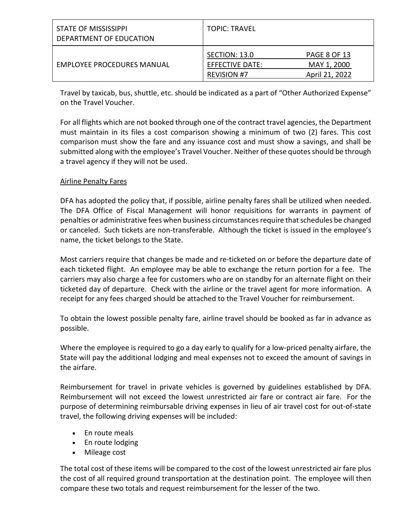| <b>STATE OF MISSISSIPPI</b><br>DEPARTMENT OF EDUCATION | <b>TOPIC: TRAVEL</b>                                          |                                                      |
|--------------------------------------------------------|---------------------------------------------------------------|------------------------------------------------------|
| EMPLOYEE PROCEDURES MANUAL                             | <b>SECTION: 13.0</b><br>EFFECTIVE DATE:<br><b>REVISION #7</b> | <b>PAGE 8 OF 13</b><br>MAY 1, 2000<br>April 21, 2022 |

Travel by taxicab, bus, shuttle, etc. should be indicated as a part of "Other Authorized Expense" on the Travel Voucher.

For all flights which are not booked through one of the contract travel agencies, the Department must maintain in its files a cost comparison showing a minimum of two (2) fares. This cost comparison must show the fare and any issuance cost and must show a savings, and shall be submitted along with the employee's Travel Voucher. Neither of these quotes should be through a travel agency if they will not be used.

# Airline Penalty Fares

DFA has adopted the policy that, if possible, airline penalty fares shall be utilized when needed. The DFA Office of Fiscal Management will honor requisitions for warrants in payment of penalties or administrative fees when business circumstances require that schedules be changed or canceled. Such tickets are non-transferable. Although the ticket is issued in the employee's name, the ticket belongs to the State.

Most carriers require that changes be made and re-ticketed on or before the departure date of each ticketed flight. An employee may be able to exchange the return portion for a fee. The carriers may also charge a fee for customers who are on standby for an alternate flight on their ticketed day of departure. Check with the airline or the travel agent for more information. A receipt for any fees charged should be attached to the Travel Voucher for reimbursement.

To obtain the lowest possible penalty fare, airline travel should be booked as far in advance as possible.

Where the employee is required to go a day early to qualify for a low-priced penalty airfare, the State will pay the additional lodging and meal expenses not to exceed the amount of savings in the airfare.

Reimbursement for travel in private vehicles is governed by guidelines established by DFA. Reimbursement will not exceed the lowest unrestricted air fare or contract air fare. For the purpose of determining reimbursable driving expenses in lieu of air travel cost for out-of-state travel, the following driving expenses will be included:

- En route meals
- En route lodging
- Mileage cost

The total cost of these items will be compared to the cost of the lowest unrestricted air fare plus the cost of all required ground transportation at the destination point. The employee will then compare these two totals and request reimbursement for the lesser of the two.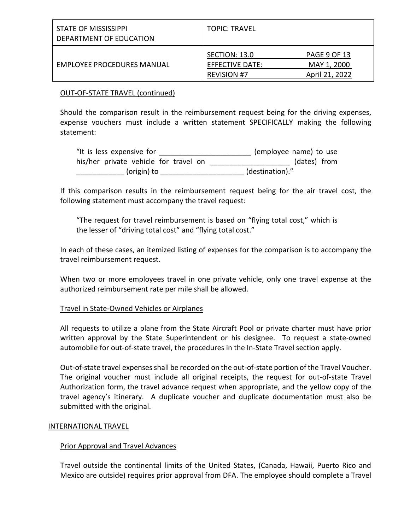| STATE OF MISSISSIPPI<br>DEPARTMENT OF EDUCATION | <b>TOPIC: TRAVEL</b>                                   |                                                      |
|-------------------------------------------------|--------------------------------------------------------|------------------------------------------------------|
| <b>EMPLOYEE PROCEDURES MANUAL</b>               | SECTION: 13.0<br>EFFECTIVE DATE:<br><b>REVISION #7</b> | <b>PAGE 9 OF 13</b><br>MAY 1, 2000<br>April 21, 2022 |

# OUT-OF-STATE TRAVEL (continued)

Should the comparison result in the reimbursement request being for the driving expenses, expense vouchers must include a written statement SPECIFICALLY making the following statement:

| "It is less expensive for             | (employee name) to use |
|---------------------------------------|------------------------|
| his/her private vehicle for travel on | (dates) from           |
| (origin) to                           | (destination)."        |

If this comparison results in the reimbursement request being for the air travel cost, the following statement must accompany the travel request:

"The request for travel reimbursement is based on "flying total cost," which is the lesser of "driving total cost" and "flying total cost."

In each of these cases, an itemized listing of expenses for the comparison is to accompany the travel reimbursement request.

When two or more employees travel in one private vehicle, only one travel expense at the authorized reimbursement rate per mile shall be allowed.

## Travel in State-Owned Vehicles or Airplanes

All requests to utilize a plane from the State Aircraft Pool or private charter must have prior written approval by the State Superintendent or his designee. To request a state-owned automobile for out-of-state travel, the procedures in the In-State Travel section apply.

Out-of-state travel expenses shall be recorded on the out-of-state portion of the Travel Voucher. The original voucher must include all original receipts, the request for out-of-state Travel Authorization form, the travel advance request when appropriate, and the yellow copy of the travel agency's itinerary.A duplicate voucher and duplicate documentation must also be submitted with the original.

## INTERNATIONAL TRAVEL

## Prior Approval and Travel Advances

Travel outside the continental limits of the United States, (Canada, Hawaii, Puerto Rico and Mexico are outside) requires prior approval from DFA. The employee should complete a Travel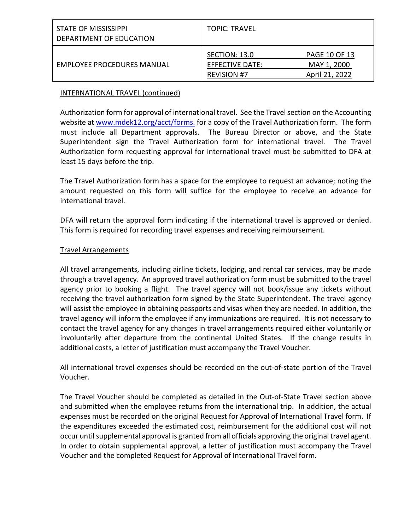| STATE OF MISSISSIPPI<br>DEPARTMENT OF EDUCATION | <b>TOPIC: TRAVEL</b>                                   |                                                       |
|-------------------------------------------------|--------------------------------------------------------|-------------------------------------------------------|
| <b>EMPLOYEE PROCEDURES MANUAL</b>               | SECTION: 13.0<br>EFFECTIVE DATE:<br><b>REVISION #7</b> | <b>PAGE 10 OF 13</b><br>MAY 1, 2000<br>April 21, 2022 |

# INTERNATIONAL TRAVEL (continued)

Authorization form for approval of international travel. See the Travel section on the Accounting website at [www.mdek12.org/acct/forms.](http://www.mdek12.org/acct/forms) for a copy of the Travel Authorization form. The form must include all Department approvals. The Bureau Director or above, and the State Superintendent sign the Travel Authorization form for international travel. The Travel Authorization form requesting approval for international travel must be submitted to DFA at least 15 days before the trip.

The Travel Authorization form has a space for the employee to request an advance; noting the amount requested on this form will suffice for the employee to receive an advance for international travel.

DFA will return the approval form indicating if the international travel is approved or denied. This form is required for recording travel expenses and receiving reimbursement.

## Travel Arrangements

All travel arrangements, including airline tickets, lodging, and rental car services, may be made through a travel agency. An approved travel authorization form must be submitted to the travel agency prior to booking a flight. The travel agency will not book/issue any tickets without receiving the travel authorization form signed by the State Superintendent. The travel agency will assist the employee in obtaining passports and visas when they are needed. In addition, the travel agency will inform the employee if any immunizations are required. It is not necessary to contact the travel agency for any changes in travel arrangements required either voluntarily or involuntarily after departure from the continental United States. If the change results in additional costs, a letter of justification must accompany the Travel Voucher.

All international travel expenses should be recorded on the out-of-state portion of the Travel Voucher.

The Travel Voucher should be completed as detailed in the Out-of-State Travel section above and submitted when the employee returns from the international trip. In addition, the actual expenses must be recorded on the original Request for Approval of International Travel form. If the expenditures exceeded the estimated cost, reimbursement for the additional cost will not occur until supplemental approval is granted from all officials approving the original travel agent. In order to obtain supplemental approval, a letter of justification must accompany the Travel Voucher and the completed Request for Approval of International Travel form.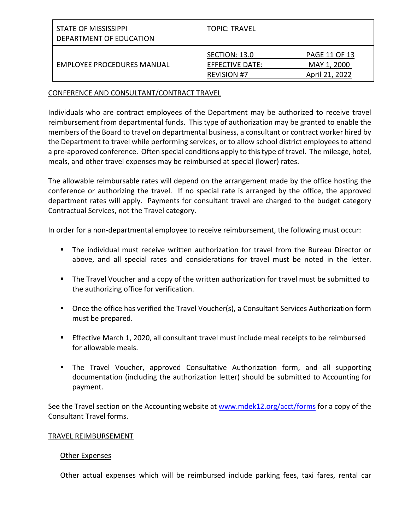| STATE OF MISSISSIPPI<br>DEPARTMENT OF EDUCATION | <b>TOPIC: TRAVEL</b>                                   |                                                       |
|-------------------------------------------------|--------------------------------------------------------|-------------------------------------------------------|
| EMPLOYEE PROCEDURES MANUAL                      | SECTION: 13.0<br>EFFECTIVE DATE:<br><b>REVISION #7</b> | <b>PAGE 11 OF 13</b><br>MAY 1, 2000<br>April 21, 2022 |

## CONFERENCE AND CONSULTANT/CONTRACT TRAVEL

Individuals who are contract employees of the Department may be authorized to receive travel reimbursement from departmental funds. This type of authorization may be granted to enable the members of the Board to travel on departmental business, a consultant or contract worker hired by the Department to travel while performing services, or to allow school district employees to attend a pre-approved conference. Often special conditions apply to this type of travel. The mileage, hotel, meals, and other travel expenses may be reimbursed at special (lower) rates.

The allowable reimbursable rates will depend on the arrangement made by the office hosting the conference or authorizing the travel. If no special rate is arranged by the office, the approved department rates will apply. Payments for consultant travel are charged to the budget category Contractual Services, not the Travel category.

In order for a non-departmental employee to receive reimbursement, the following must occur:

- The individual must receive written authorization for travel from the Bureau Director or above, and all special rates and considerations for travel must be noted in the letter.
- The Travel Voucher and a copy of the written authorization for travel must be submitted to the authorizing office for verification.
- Once the office has verified the Travel Voucher(s), a Consultant Services Authorization form must be prepared.
- **Effective March 1, 2020, all consultant travel must include meal receipts to be reimbursed** for allowable meals.
- The Travel Voucher, approved Consultative Authorization form, and all supporting documentation (including the authorization letter) should be submitted to Accounting for payment.

See the Travel section on the Accounting website at [www.mdek12.org/acct/forms](http://www.mdek12.org/acct/forms) for a copy of the Consultant Travel forms.

## TRAVEL REIMBURSEMENT

## Other Expenses

Other actual expenses which will be reimbursed include parking fees, taxi fares, rental car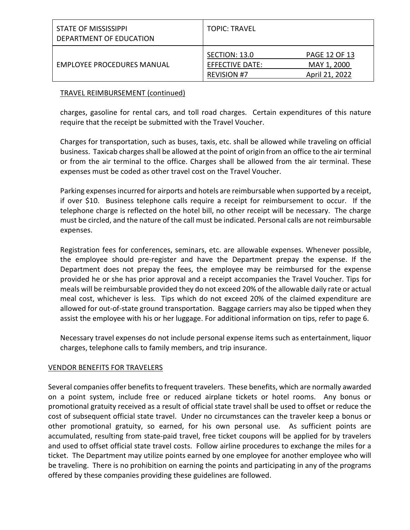| STATE OF MISSISSIPPI<br>DEPARTMENT OF EDUCATION | <b>TOPIC: TRAVEL</b>                                          |                                                       |
|-------------------------------------------------|---------------------------------------------------------------|-------------------------------------------------------|
| <b>EMPLOYEE PROCEDURES MANUAL</b>               | SECTION: 13.0<br><b>EFFECTIVE DATE:</b><br><b>REVISION #7</b> | <b>PAGE 12 OF 13</b><br>MAY 1, 2000<br>April 21, 2022 |

### TRAVEL REIMBURSEMENT (continued)

charges, gasoline for rental cars, and toll road charges. Certain expenditures of this nature require that the receipt be submitted with the Travel Voucher.

Charges for transportation, such as buses, taxis, etc. shall be allowed while traveling on official business. Taxicab charges shall be allowed at the point of origin from an office to the air terminal or from the air terminal to the office. Charges shall be allowed from the air terminal. These expenses must be coded as other travel cost on the Travel Voucher.

Parking expenses incurred for airports and hotels are reimbursable when supported by a receipt, if over \$10. Business telephone calls require a receipt for reimbursement to occur. If the telephone charge is reflected on the hotel bill, no other receipt will be necessary. The charge must be circled, and the nature of the call must be indicated. Personal calls are not reimbursable expenses.

Registration fees for conferences, seminars, etc. are allowable expenses. Whenever possible, the employee should pre-register and have the Department prepay the expense. If the Department does not prepay the fees, the employee may be reimbursed for the expense provided he or she has prior approval and a receipt accompanies the Travel Voucher. Tips for meals will be reimbursable provided they do not exceed 20% of the allowable daily rate or actual meal cost, whichever is less. Tips which do not exceed 20% of the claimed expenditure are allowed for out-of-state ground transportation. Baggage carriers may also be tipped when they assist the employee with his or her luggage. For additional information on tips, refer to page 6.

Necessary travel expenses do not include personal expense items such as entertainment, liquor charges, telephone calls to family members, and trip insurance.

## VENDOR BENEFITS FOR TRAVELERS

Several companies offer benefits to frequent travelers. These benefits, which are normally awarded on a point system, include free or reduced airplane tickets or hotel rooms. Any bonus or promotional gratuity received as a result of official state travel shall be used to offset or reduce the cost of subsequent official state travel. Under no circumstances can the traveler keep a bonus or other promotional gratuity, so earned, for his own personal use. As sufficient points are accumulated, resulting from state-paid travel, free ticket coupons will be applied for by travelers and used to offset official state travel costs. Follow airline procedures to exchange the miles for a ticket. The Department may utilize points earned by one employee for another employee who will be traveling. There is no prohibition on earning the points and participating in any of the programs offered by these companies providing these guidelines are followed.